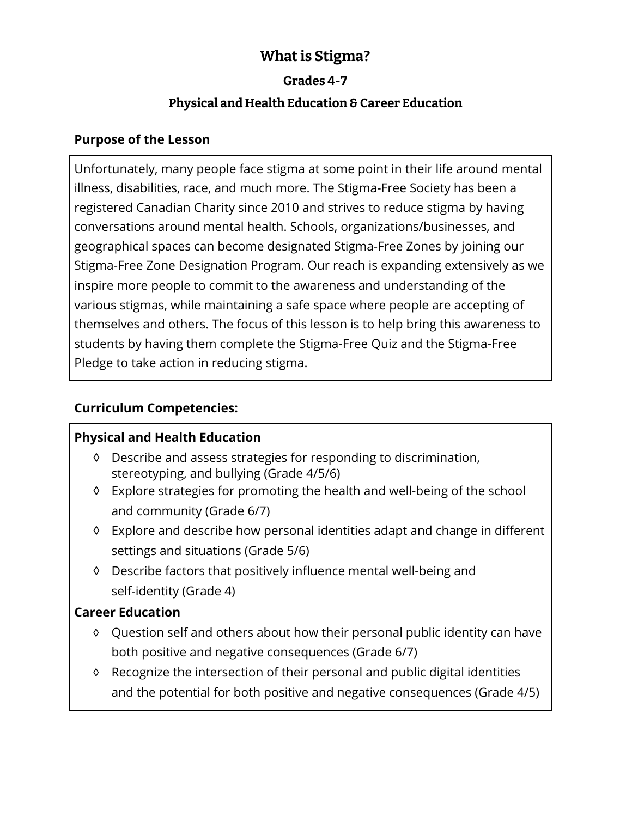# **What is Stigma?**

#### **Grades 4-7**

# **Physical and Health Education & Career Education**

#### **Purpose of the Lesson**

Unfortunately, many people face stigma at some point in their life around mental illness, disabilities, race, and much more. The Stigma-Free Society has been a registered Canadian Charity since 2010 and strives to reduce stigma by having conversations around mental health. Schools, organizations/businesses, and geographical spaces can become designated Stigma-Free Zones by joining our Stigma-Free Zone Designation Program. Our reach is expanding extensively as we inspire more people to commit to the awareness and understanding of the various stigmas, while maintaining a safe space where people are accepting of themselves and others. The focus of this lesson is to help bring this awareness to students by having them complete the Stigma-Free Quiz and the Stigma-Free Pledge to take action in reducing stigma.

# **Curriculum Competencies:**

## **Physical and Health Education**

- ◊ Describe and assess strategies for responding to discrimination, stereotyping, and bullying (Grade 4/5/6)
- ◊ Explore strategies for promoting the health and well-being of the school and community (Grade 6/7)
- ◊ Explore and describe how personal identities adapt and change in different settings and situations (Grade 5/6)
- ◊ Describe factors that positively influence mental well-being and self-identity (Grade 4)

## **Career Education**

- ◊ Question self and others about how their personal public identity can have both positive and negative consequences (Grade 6/7)
- ◊ Recognize the intersection of their personal and public digital identities and the potential for both positive and negative consequences (Grade 4/5)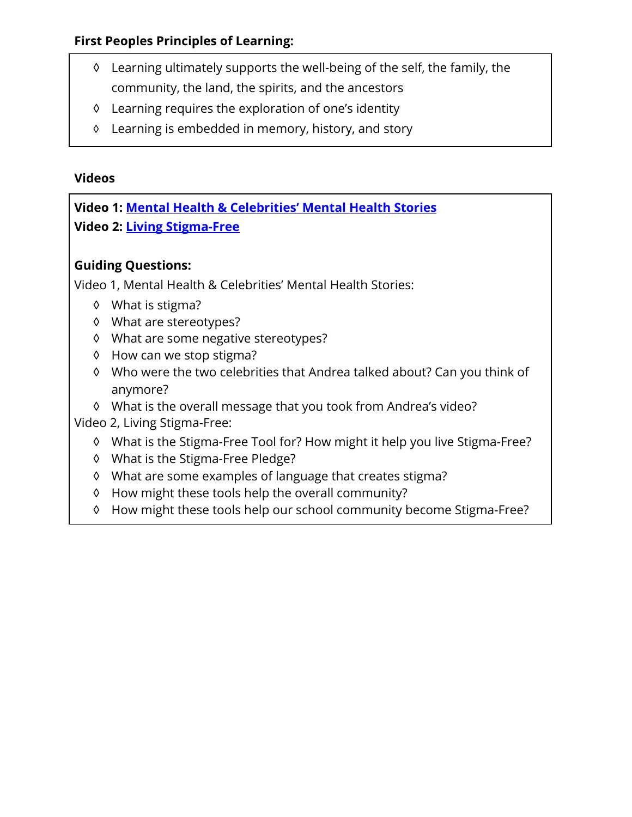#### **First Peoples Principles of Learning:**

- ◊ Learning ultimately supports the well-being of the self, the family, the community, the land, the spirits, and the ancestors
- ◊ Learning requires the exploration of one's identity
- ◊ Learning is embedded in memory, history, and story

#### **Videos**

**Video 1: [Mental Health & Celebrities' Mental Health Stories](https://studentmentalhealthtoolkit.com/teens-corner/video-library/) Video 2: [Living Stigma-Free](https://studentmentalhealthtoolkit.com/teens-corner/video-library/)**

## **Guiding Questions:**

Video 1, Mental Health & Celebrities' Mental Health Stories:

- ◊ What is stigma?
- ◊ What are stereotypes?
- ◊ What are some negative stereotypes?
- ◊ How can we stop stigma?
- ◊ Who were the two celebrities that Andrea talked about? Can you think of anymore?
- ◊ What is the overall message that you took from Andrea's video?

Video 2, Living Stigma-Free:

- ◊ What is the Stigma-Free Tool for? How might it help you live Stigma-Free?
- ◊ What is the Stigma-Free Pledge?
- ◊ What are some examples of language that creates stigma?
- ◊ How might these tools help the overall community?
- ◊ How might these tools help our school community become Stigma-Free?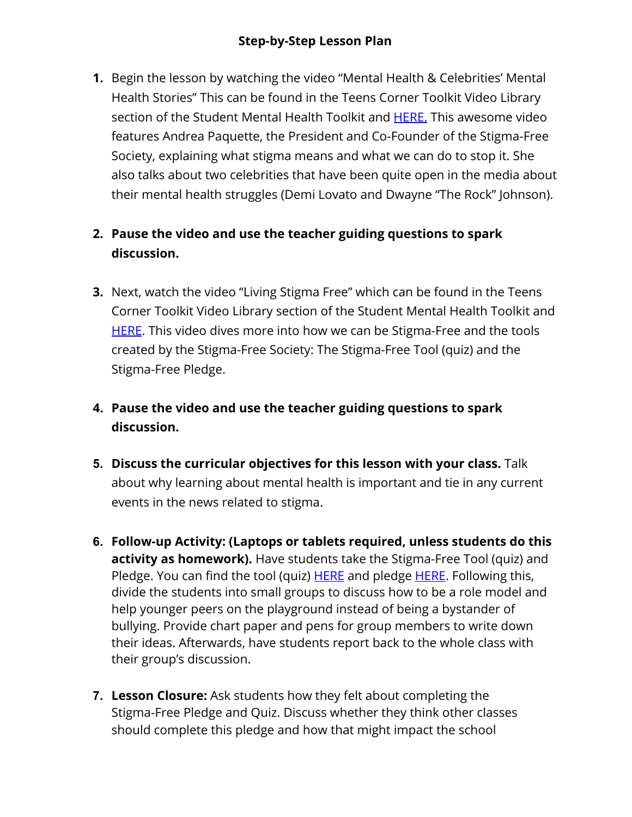#### **Step-by-Step Lesson Plan**

**1.** Begin the lesson by watching the video "Mental Health & Celebrities' Mental Health Stories" This can be found in the Teens Corner Toolkit Video Library section of the Student Mental Health Toolkit and [HERE](https://studentmentalhealthtoolkit.com/teens-corner/video-library/). This awesome video features Andrea Paquette, the President and Co-Founder of the Stigma-Free Society, explaining what stigma means and what we can do to stop it. She also talks about two celebrities that have been quite open in the media about their mental health struggles (Demi Lovato and Dwayne "The Rock" Johnson).

# **2. Pause the video and use the teacher guiding questions to spark discussion.**

- **3.** Next, watch the video "Living Stigma Free" which can be found in the Teens Corner Toolkit Video Library section of the Student Mental Health Toolkit and [HERE](https://studentmentalhealthtoolkit.com/teens-corner/video-library/). This video dives more into how we can be Stigma-Free and the tools created by the Stigma-Free Society: The Stigma-Free Tool (quiz) and the Stigma-Free Pledge.
- **4. Pause the video and use the teacher guiding questions to spark discussion.**
- **5. Discuss the curricular objectives for this lesson with your class.** Talk about why learning about mental health is important and tie in any current events in the news related to stigma.
- **6. Follow-up Activity: (Laptops or tablets required, unless students do this activity as homework).** Have students take the Stigma-Free Tool (quiz) and Pledge. You can find the tool (quiz) [HERE](https://stigmafreesociety.com/stigma-free-tool/) and pledge [HERE.](https://stigmafreesociety.com/pledge/) Following this, divide the students into small groups to discuss how to be a role model and help younger peers on the playground instead of being a bystander of bullying. Provide chart paper and pens for group members to write down their ideas. Afterwards, have students report back to the whole class with their group's discussion.
- **7. Lesson Closure:** Ask students how they felt about completing the Stigma-Free Pledge and Quiz. Discuss whether they think other classes should complete this pledge and how that might impact the school